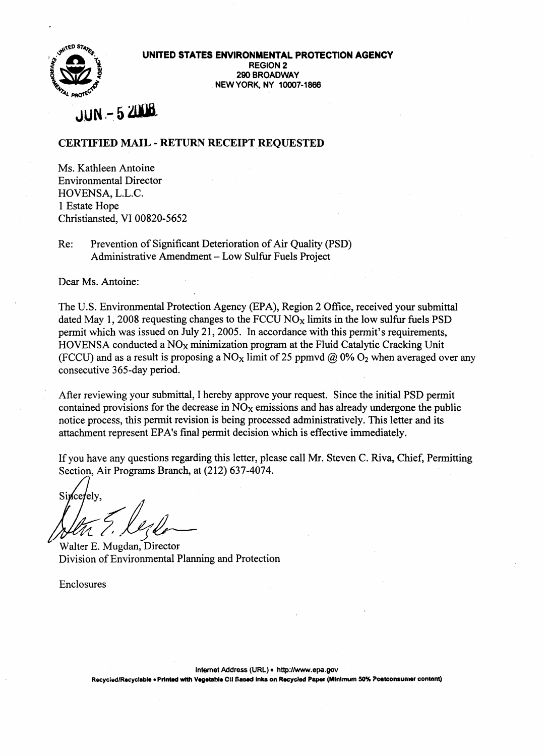

UNITED STATES ENVIRONMENTAL PROTECTION AGENCY REGION 2 290 BROADWAY NEW YORK. NY 10007-1866

# $JUN - 52008$

## CERTIFIED MAIL - RETURN RECEIPT REQUESTED

Ms. Kathleen Antoine Environmental Director HOVENSA, L.L.C. 1 Estate Hope Christiansted, VI 00820-5652

Re: Prevention of Significant Deterioration of Air Quality (PSD) Administrative Amendment - Low Sulfur Fuels Project

Dear Ms. Antoine:

The U.S. Environmental Protection Agency (EPA), Region 2 Office, received your submittal dated May 1, 2008 requesting changes to the FCCU  $NO<sub>x</sub>$  limits in the low sulfur fuels PSD permit which was issued on July 21, 2005. In accordance with this permit's requirements, HOVENSA conducted a  $NO<sub>x</sub>$  minimization program at the Fluid Catalytic Cracking Unit (FCCU) and as a result is proposing a NO<sub>x</sub> limit of 25 ppmvd @ 0% O<sub>2</sub> when averaged over any consecutive 365-day period.

After reviewing your submittal, I hereby approve your request. Since the initial PSD permit contained provisions for the decrease in  $NO<sub>x</sub>$  emissions and has already undergone the public notice process, this permit revision is being processed administratively. This letter and its attachment represent EPA's final permit decision which is effective immediately.

If you have any questions regarding this letter, please call Mr. Steven C. Riva, Chief, Permitting Section, Air Programs Branch, at (212) 637-4074.

Sincerely.  $\sqrt{\ell\pi}$  7.  $\ell\ell\neq$ 

Division of Environmental Planning and Protection

Enclosures

Intemet Address (URL) . http://www.epa.gov

Recycled/Recyclable • Printed with Vegetable Cil Sased Inks on Recycled Paper (Minimum 50% Postconsumer content)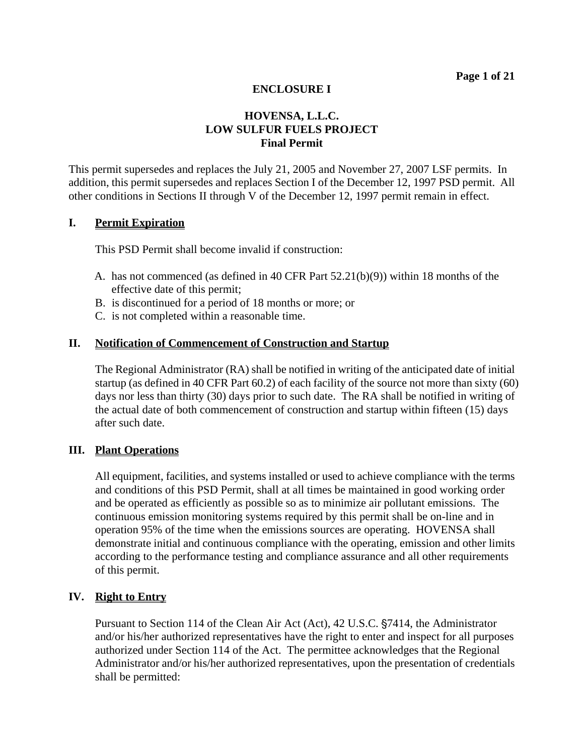# **HOVENSA, L.L.C. LOW SULFUR FUELS PROJECT Final Permit**

 This permit supersedes and replaces the July 21, 2005 and November 27, 2007 LSF permits. In addition, this permit supersedes and replaces Section I of the December 12, 1997 PSD permit. All other conditions in Sections II through V of the December 12, 1997 permit remain in effect.

#### **I. Permit Expiration**

This PSD Permit shall become invalid if construction:

- A. has not commenced (as defined in 40 CFR Part  $52.21(b)(9)$ ) within 18 months of the effective date of this permit;
- B. is discontinued for a period of 18 months or more; or
- C. is not completed within a reasonable time.

#### **II. Notification of Commencement of Construction and Startup**

The Regional Administrator (RA) shall be notified in writing of the anticipated date of initial startup (as defined in 40 CFR Part 60.2) of each facility of the source not more than sixty (60) days nor less than thirty (30) days prior to such date. The RA shall be notified in writing of the actual date of both commencement of construction and startup within fifteen (15) days after such date.

#### **III. Plant Operations**

All equipment, facilities, and systems installed or used to achieve compliance with the terms and conditions of this PSD Permit, shall at all times be maintained in good working order and be operated as efficiently as possible so as to minimize air pollutant emissions. The continuous emission monitoring systems required by this permit shall be on-line and in operation 95% of the time when the emissions sources are operating. HOVENSA shall demonstrate initial and continuous compliance with the operating, emission and other limits according to the performance testing and compliance assurance and all other requirements of this permit.

## **IV. Right to Entry**

Pursuant to Section 114 of the Clean Air Act (Act), 42 U.S.C. §7414, the Administrator and/or his/her authorized representatives have the right to enter and inspect for all purposes authorized under Section 114 of the Act. The permittee acknowledges that the Regional Administrator and/or his/her authorized representatives, upon the presentation of credentials shall be permitted: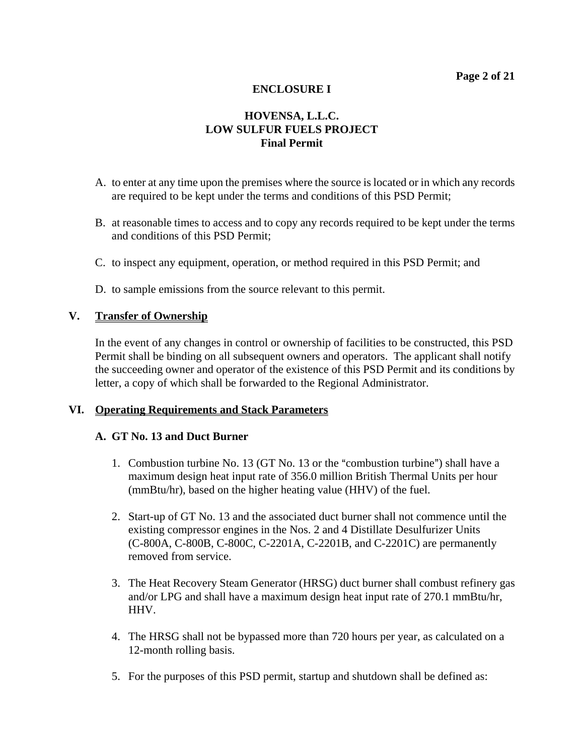# **HOVENSA, L.L.C. LOW SULFUR FUELS PROJECT Final Permit**

- A. to enter at any time upon the premises where the source is located or in which any records are required to be kept under the terms and conditions of this PSD Permit;
- B. at reasonable times to access and to copy any records required to be kept under the terms and conditions of this PSD Permit;
- C. to inspect any equipment, operation, or method required in this PSD Permit; and
- D. to sample emissions from the source relevant to this permit.

#### **V. Transfer of Ownership**

In the event of any changes in control or ownership of facilities to be constructed, this PSD Permit shall be binding on all subsequent owners and operators. The applicant shall notify the succeeding owner and operator of the existence of this PSD Permit and its conditions by letter, a copy of which shall be forwarded to the Regional Administrator.

#### **VI. Operating Requirements and Stack Parameters**

#### **A. GT No. 13 and Duct Burner**

- 1. Combustion turbine No.  $13$  (GT No.  $13$  or the "combustion turbine") shall have a maximum design heat input rate of 356.0 million British Thermal Units per hour (mmBtu/hr), based on the higher heating value (HHV) of the fuel.
- 2. Start-up of GT No. 13 and the associated duct burner shall not commence until the existing compressor engines in the Nos. 2 and 4 Distillate Desulfurizer Units (C-800A, C-800B, C-800C, C-2201A, C-2201B, and C-2201C) are permanently removed from service.
- 3. The Heat Recovery Steam Generator (HRSG) duct burner shall combust refinery gas and/or LPG and shall have a maximum design heat input rate of 270.1 mmBtu/hr, HHV.
- 4. The HRSG shall not be bypassed more than 720 hours per year, as calculated on a 12-month rolling basis.
- 5. For the purposes of this PSD permit, startup and shutdown shall be defined as: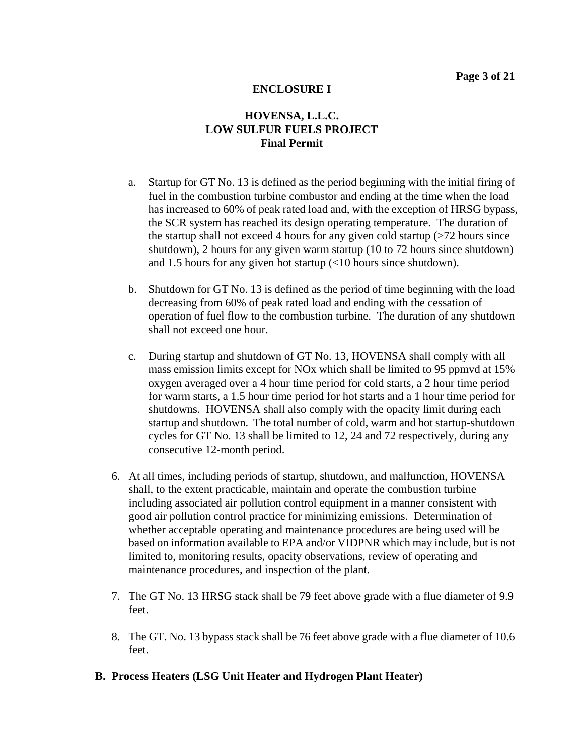- a. Startup for GT No. 13 is defined as the period beginning with the initial firing of fuel in the combustion turbine combustor and ending at the time when the load has increased to 60% of peak rated load and, with the exception of HRSG bypass, the SCR system has reached its design operating temperature. The duration of the startup shall not exceed 4 hours for any given cold startup  $($ >72 hours since shutdown), 2 hours for any given warm startup (10 to 72 hours since shutdown) and 1.5 hours for any given hot startup (<10 hours since shutdown).
- b. Shutdown for GT No. 13 is defined as the period of time beginning with the load decreasing from 60% of peak rated load and ending with the cessation of operation of fuel flow to the combustion turbine. The duration of any shutdown shall not exceed one hour.
- c. During startup and shutdown of GT No. 13, HOVENSA shall comply with all mass emission limits except for NOx which shall be limited to 95 ppmvd at 15% oxygen averaged over a 4 hour time period for cold starts, a 2 hour time period for warm starts, a 1.5 hour time period for hot starts and a 1 hour time period for shutdowns. HOVENSA shall also comply with the opacity limit during each startup and shutdown. The total number of cold, warm and hot startup-shutdown cycles for GT No. 13 shall be limited to 12, 24 and 72 respectively, during any consecutive 12-month period.
- 6. At all times, including periods of startup, shutdown, and malfunction, HOVENSA shall, to the extent practicable, maintain and operate the combustion turbine including associated air pollution control equipment in a manner consistent with good air pollution control practice for minimizing emissions. Determination of whether acceptable operating and maintenance procedures are being used will be based on information available to EPA and/or VIDPNR which may include, but is not limited to, monitoring results, opacity observations, review of operating and maintenance procedures, and inspection of the plant.
- 7. The GT No. 13 HRSG stack shall be 79 feet above grade with a flue diameter of 9.9 feet.
- 8. The GT. No. 13 bypass stack shall be 76 feet above grade with a flue diameter of 10.6 feet.
- **B. Process Heaters (LSG Unit Heater and Hydrogen Plant Heater)**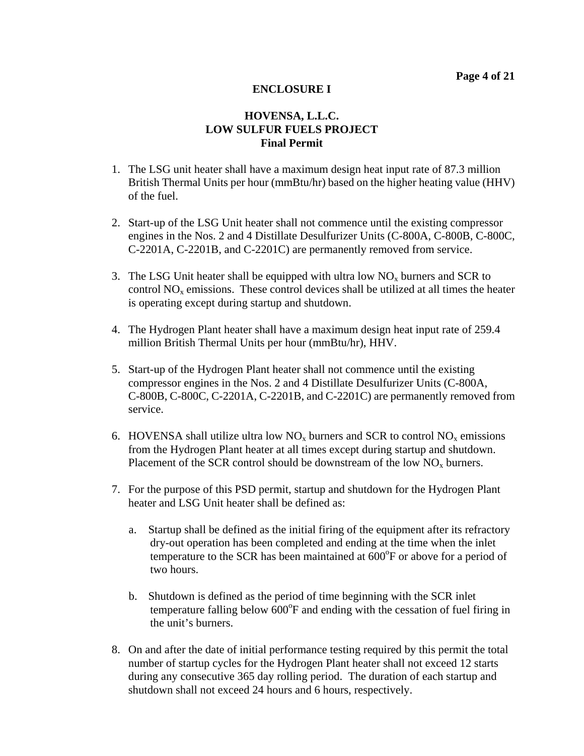- 1. The LSG unit heater shall have a maximum design heat input rate of 87.3 million British Thermal Units per hour (mmBtu/hr) based on the higher heating value (HHV) of the fuel.
- 2. Start-up of the LSG Unit heater shall not commence until the existing compressor engines in the Nos. 2 and 4 Distillate Desulfurizer Units (C-800A, C-800B, C-800C, C-2201A, C-2201B, and C-2201C) are permanently removed from service.
- 3. The LSG Unit heater shall be equipped with ultra low  $NO<sub>x</sub>$  burners and SCR to control  $NO<sub>x</sub>$  emissions. These control devices shall be utilized at all times the heater is operating except during startup and shutdown.
- 4. The Hydrogen Plant heater shall have a maximum design heat input rate of 259.4 million British Thermal Units per hour (mmBtu/hr), HHV.
- 5. Start-up of the Hydrogen Plant heater shall not commence until the existing compressor engines in the Nos. 2 and 4 Distillate Desulfurizer Units (C-800A, C-800B, C-800C, C-2201A, C-2201B, and C-2201C) are permanently removed from service.
- 6. HOVENSA shall utilize ultra low  $NO_x$  burners and SCR to control  $NO_x$  emissions from the Hydrogen Plant heater at all times except during startup and shutdown. Placement of the SCR control should be downstream of the low  $NO<sub>x</sub>$  burners.
- 7. For the purpose of this PSD permit, startup and shutdown for the Hydrogen Plant heater and LSG Unit heater shall be defined as:
	- a. Startup shall be defined as the initial firing of the equipment after its refractory dry-out operation has been completed and ending at the time when the inlet temperature to the SCR has been maintained at  $600^{\circ}$ F or above for a period of two hours.
	- b. Shutdown is defined as the period of time beginning with the SCR inlet temperature falling below  $600^{\circ}$ F and ending with the cessation of fuel firing in the unit's burners.
- 8. On and after the date of initial performance testing required by this permit the total number of startup cycles for the Hydrogen Plant heater shall not exceed 12 starts during any consecutive 365 day rolling period. The duration of each startup and shutdown shall not exceed 24 hours and 6 hours, respectively.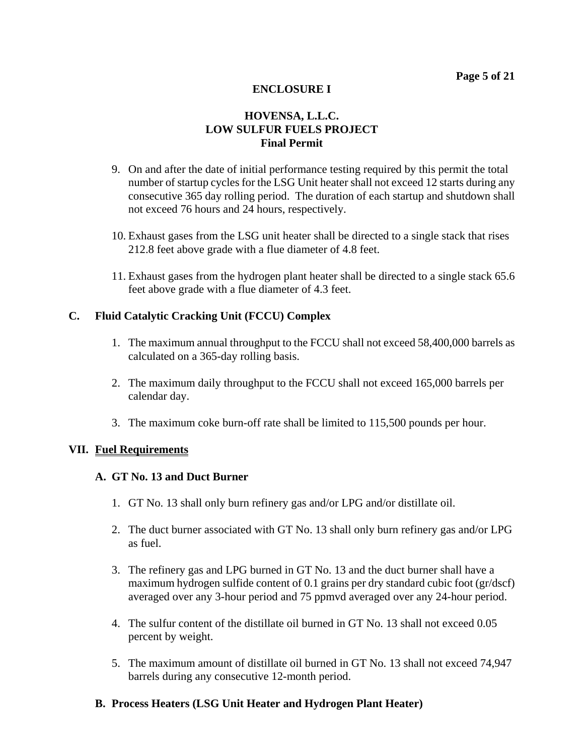# **HOVENSA, L.L.C. LOW SULFUR FUELS PROJECT Final Permit**

- 9. On and after the date of initial performance testing required by this permit the total number of startup cycles for the LSG Unit heater shall not exceed 12 starts during any consecutive 365 day rolling period. The duration of each startup and shutdown shall not exceed 76 hours and 24 hours, respectively.
- 10. Exhaust gases from the LSG unit heater shall be directed to a single stack that rises 212.8 feet above grade with a flue diameter of 4.8 feet.
- 11. Exhaust gases from the hydrogen plant heater shall be directed to a single stack 65.6 feet above grade with a flue diameter of 4.3 feet.

#### **C. Fluid Catalytic Cracking Unit (FCCU) Complex**

- 1. The maximum annual throughput to the FCCU shall not exceed 58,400,000 barrels as calculated on a 365-day rolling basis.
- 2. The maximum daily throughput to the FCCU shall not exceed 165,000 barrels per calendar day.
- 3. The maximum coke burn-off rate shall be limited to 115,500 pounds per hour.

#### **VII. Fuel Requirements**

#### **A. GT No. 13 and Duct Burner**

- 1. GT No. 13 shall only burn refinery gas and/or LPG and/or distillate oil.
- 2. The duct burner associated with GT No. 13 shall only burn refinery gas and/or LPG as fuel.
- 3. The refinery gas and LPG burned in GT No. 13 and the duct burner shall have a maximum hydrogen sulfide content of 0.1 grains per dry standard cubic foot (gr/dscf) averaged over any 3-hour period and 75 ppmvd averaged over any 24-hour period.
- 4. The sulfur content of the distillate oil burned in GT No. 13 shall not exceed 0.05 percent by weight.
- 5. The maximum amount of distillate oil burned in GT No. 13 shall not exceed 74,947 barrels during any consecutive 12-month period.

## **B. Process Heaters (LSG Unit Heater and Hydrogen Plant Heater)**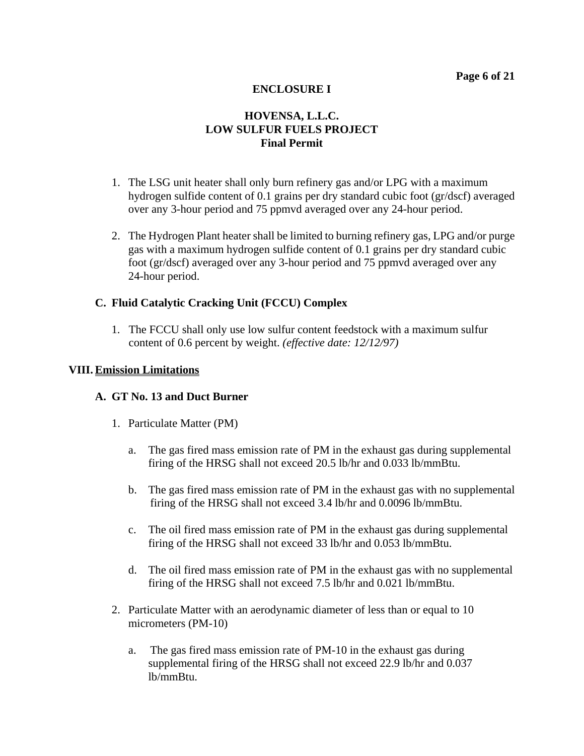# **HOVENSA, L.L.C. LOW SULFUR FUELS PROJECT Final Permit**

- 1. The LSG unit heater shall only burn refinery gas and/or LPG with a maximum hydrogen sulfide content of 0.1 grains per dry standard cubic foot (gr/dscf) averaged over any 3-hour period and 75 ppmvd averaged over any 24-hour period.
- 2. The Hydrogen Plant heater shall be limited to burning refinery gas, LPG and/or purge gas with a maximum hydrogen sulfide content of 0.1 grains per dry standard cubic foot (gr/dscf) averaged over any 3-hour period and 75 ppmvd averaged over any 24-hour period.

## **C. Fluid Catalytic Cracking Unit (FCCU) Complex**

1. The FCCU shall only use low sulfur content feedstock with a maximum sulfur content of 0.6 percent by weight. *(effective date: 12/12/97)*

#### **VIII. Emission Limitations**

#### **A. GT No. 13 and Duct Burner**

- 1. Particulate Matter (PM)
	- a. The gas fired mass emission rate of PM in the exhaust gas during supplemental firing of the HRSG shall not exceed 20.5 lb/hr and 0.033 lb/mmBtu.
	- b. The gas fired mass emission rate of PM in the exhaust gas with no supplemental firing of the HRSG shall not exceed 3.4 lb/hr and 0.0096 lb/mmBtu.
	- c. The oil fired mass emission rate of PM in the exhaust gas during supplemental firing of the HRSG shall not exceed 33 lb/hr and 0.053 lb/mmBtu.
	- d. The oil fired mass emission rate of PM in the exhaust gas with no supplemental firing of the HRSG shall not exceed 7.5 lb/hr and 0.021 lb/mmBtu.
- 2. Particulate Matter with an aerodynamic diameter of less than or equal to 10 micrometers (PM-10)
	- a. The gas fired mass emission rate of PM-10 in the exhaust gas during supplemental firing of the HRSG shall not exceed 22.9 lb/hr and 0.037 lb/mmBtu.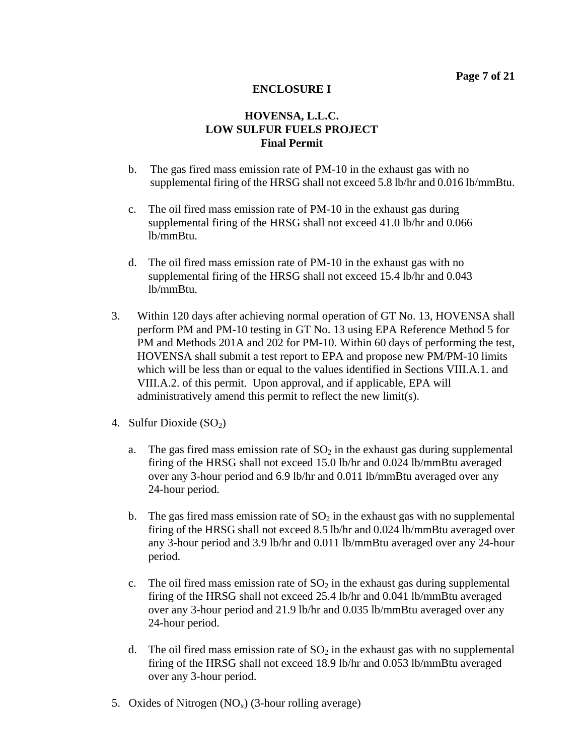- b. The gas fired mass emission rate of PM-10 in the exhaust gas with no supplemental firing of the HRSG shall not exceed 5.8 lb/hr and 0.016 lb/mmBtu.
- c. The oil fired mass emission rate of PM-10 in the exhaust gas during supplemental firing of the HRSG shall not exceed 41.0 lb/hr and 0.066 lb/mmBtu.
- d. The oil fired mass emission rate of PM-10 in the exhaust gas with no supplemental firing of the HRSG shall not exceed 15.4 lb/hr and 0.043 lb/mmBtu.
- 3. Within 120 days after achieving normal operation of GT No. 13, HOVENSA shall perform PM and PM-10 testing in GT No. 13 using EPA Reference Method 5 for PM and Methods 201A and 202 for PM-10. Within 60 days of performing the test, HOVENSA shall submit a test report to EPA and propose new PM/PM-10 limits which will be less than or equal to the values identified in Sections VIII.A.1. and VIII.A.2. of this permit. Upon approval, and if applicable, EPA will administratively amend this permit to reflect the new limit(s).
- 4. Sulfur Dioxide  $(SO<sub>2</sub>)$ 
	- a. The gas fired mass emission rate of  $SO<sub>2</sub>$  in the exhaust gas during supplemental firing of the HRSG shall not exceed 15.0 lb/hr and 0.024 lb/mmBtu averaged over any 3-hour period and 6.9 lb/hr and 0.011 lb/mmBtu averaged over any 24-hour period.
	- b. The gas fired mass emission rate of  $SO<sub>2</sub>$  in the exhaust gas with no supplemental firing of the HRSG shall not exceed 8.5 lb/hr and 0.024 lb/mmBtu averaged over any 3-hour period and 3.9 lb/hr and 0.011 lb/mmBtu averaged over any 24-hour period.
	- c. The oil fired mass emission rate of  $SO<sub>2</sub>$  in the exhaust gas during supplemental firing of the HRSG shall not exceed 25.4 lb/hr and 0.041 lb/mmBtu averaged over any 3-hour period and 21.9 lb/hr and 0.035 lb/mmBtu averaged over any 24-hour period.
	- d. The oil fired mass emission rate of  $SO<sub>2</sub>$  in the exhaust gas with no supplemental firing of the HRSG shall not exceed 18.9 lb/hr and 0.053 lb/mmBtu averaged over any 3-hour period.
- 5. Oxides of Nitrogen  $(NO<sub>x</sub>)$  (3-hour rolling average)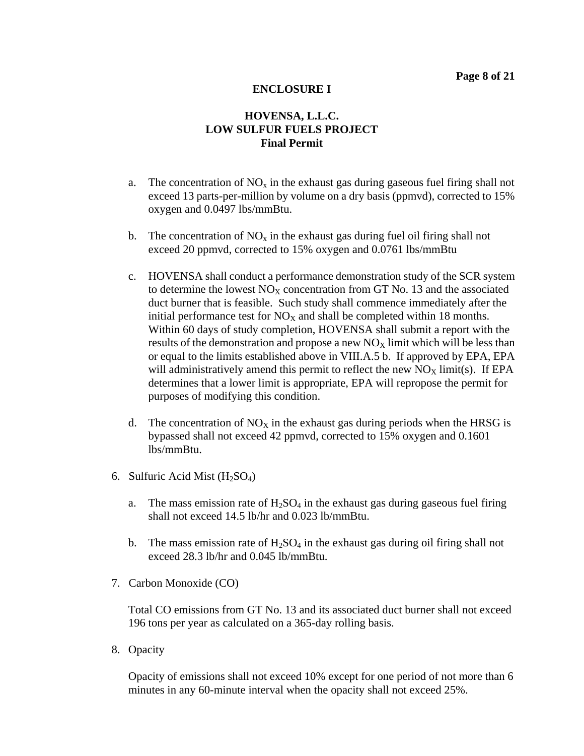# **HOVENSA, L.L.C. LOW SULFUR FUELS PROJECT Final Permit**

- a. The concentration of  $NO_x$  in the exhaust gas during gaseous fuel firing shall not exceed 13 parts-per-million by volume on a dry basis (ppmvd), corrected to 15% oxygen and 0.0497 lbs/mmBtu.
- b. The concentration of  $NO<sub>x</sub>$  in the exhaust gas during fuel oil firing shall not exceed 20 ppmvd, corrected to 15% oxygen and 0.0761 lbs/mmBtu
- c. HOVENSA shall conduct a performance demonstration study of the SCR system to determine the lowest  $NO<sub>x</sub>$  concentration from GT No. 13 and the associated duct burner that is feasible. Such study shall commence immediately after the initial performance test for  $NO<sub>x</sub>$  and shall be completed within 18 months. Within 60 days of study completion, HOVENSA shall submit a report with the results of the demonstration and propose a new  $NO<sub>X</sub>$  limit which will be less than or equal to the limits established above in VIII.A.5 b. If approved by EPA, EPA will administratively amend this permit to reflect the new  $NO<sub>X</sub>$  limit(s). If EPA determines that a lower limit is appropriate, EPA will repropose the permit for purposes of modifying this condition.
- d. The concentration of  $NO<sub>X</sub>$  in the exhaust gas during periods when the HRSG is bypassed shall not exceed 42 ppmvd, corrected to 15% oxygen and 0.1601 lbs/mmBtu.
- 6. Sulfuric Acid Mist  $(H<sub>2</sub>SO<sub>4</sub>)$ 
	- a. The mass emission rate of  $H_2SO_4$  in the exhaust gas during gaseous fuel firing shall not exceed 14.5 lb/hr and 0.023 lb/mmBtu.
	- b. The mass emission rate of  $H_2SO_4$  in the exhaust gas during oil firing shall not exceed 28.3 lb/hr and 0.045 lb/mmBtu.
- 7. Carbon Monoxide (CO)

Total CO emissions from GT No. 13 and its associated duct burner shall not exceed 196 tons per year as calculated on a 365-day rolling basis.

8. Opacity

Opacity of emissions shall not exceed 10% except for one period of not more than 6 minutes in any 60-minute interval when the opacity shall not exceed 25%.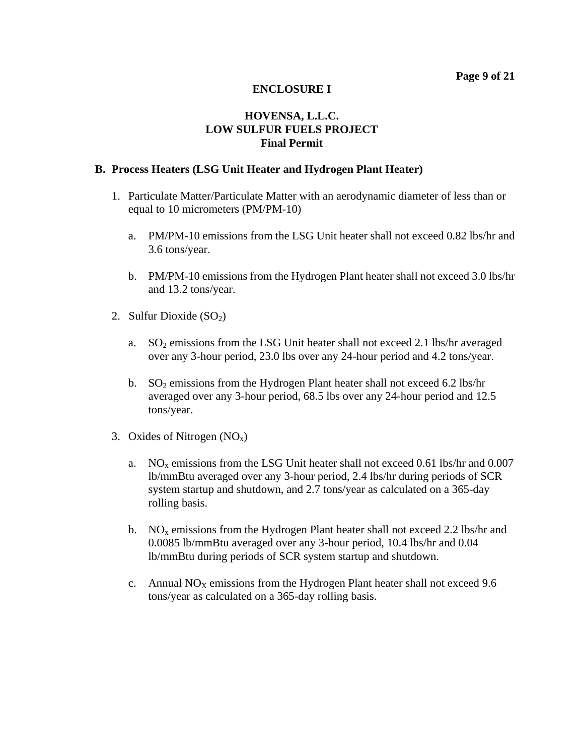## **HOVENSA, L.L.C. LOW SULFUR FUELS PROJECT Final Permit**

#### **B. Process Heaters (LSG Unit Heater and Hydrogen Plant Heater)**

- 1. Particulate Matter/Particulate Matter with an aerodynamic diameter of less than or equal to 10 micrometers (PM/PM-10)
	- a. PM/PM-10 emissions from the LSG Unit heater shall not exceed 0.82 lbs/hr and 3.6 tons/year.
	- b. PM/PM-10 emissions from the Hydrogen Plant heater shall not exceed 3.0 lbs/hr and 13.2 tons/year.
- 2. Sulfur Dioxide  $(SO<sub>2</sub>)$ 
	- a. SO2 emissions from the LSG Unit heater shall not exceed 2.1 lbs/hr averaged over any 3-hour period, 23.0 lbs over any 24-hour period and 4.2 tons/year.
	- b.  $SO_2$  emissions from the Hydrogen Plant heater shall not exceed 6.2 lbs/hr averaged over any 3-hour period, 68.5 lbs over any 24-hour period and 12.5 tons/year.
- 3. Oxides of Nitrogen  $(NO<sub>x</sub>)$ 
	- a. NOx emissions from the LSG Unit heater shall not exceed 0.61 lbs/hr and 0.007 lb/mmBtu averaged over any 3-hour period, 2.4 lbs/hr during periods of SCR system startup and shutdown, and 2.7 tons/year as calculated on a 365-day rolling basis.
	- b.  $NO<sub>x</sub>$  emissions from the Hydrogen Plant heater shall not exceed 2.2 lbs/hr and 0.0085 lb/mmBtu averaged over any 3-hour period, 10.4 lbs/hr and 0.04 lb/mmBtu during periods of SCR system startup and shutdown.
	- c. Annual  $NO<sub>X</sub>$  emissions from the Hydrogen Plant heater shall not exceed 9.6 tons/year as calculated on a 365-day rolling basis.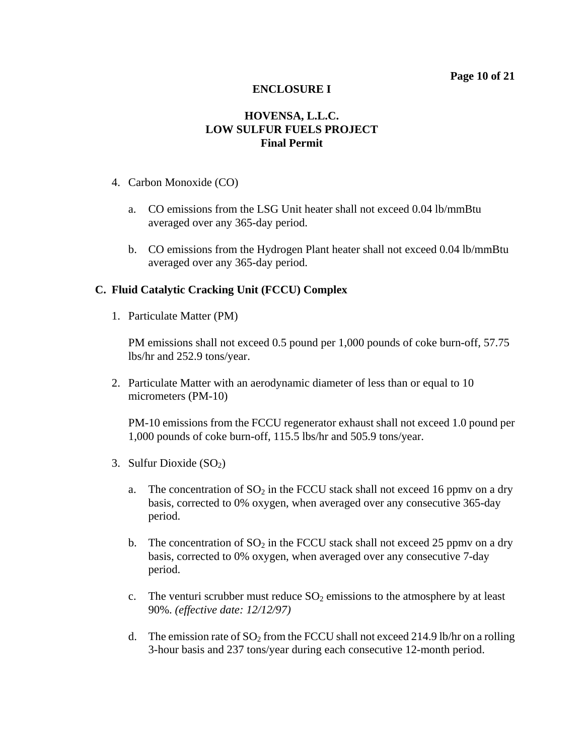## **HOVENSA, L.L.C. LOW SULFUR FUELS PROJECT Final Permit**

- 4. Carbon Monoxide (CO)
	- a. CO emissions from the LSG Unit heater shall not exceed 0.04 lb/mmBtu averaged over any 365-day period.
	- b. CO emissions from the Hydrogen Plant heater shall not exceed 0.04 lb/mmBtu averaged over any 365-day period.

## **C. Fluid Catalytic Cracking Unit (FCCU) Complex**

1. Particulate Matter (PM)

PM emissions shall not exceed 0.5 pound per 1,000 pounds of coke burn-off, 57.75 lbs/hr and 252.9 tons/year.

2. Particulate Matter with an aerodynamic diameter of less than or equal to 10 micrometers (PM-10)

PM-10 emissions from the FCCU regenerator exhaust shall not exceed 1.0 pound per 1,000 pounds of coke burn-off, 115.5 lbs/hr and 505.9 tons/year.

- 3. Sulfur Dioxide  $(SO<sub>2</sub>)$ 
	- a. The concentration of  $SO_2$  in the FCCU stack shall not exceed 16 ppmv on a dry basis, corrected to 0% oxygen, when averaged over any consecutive 365-day period.
	- b. The concentration of  $SO_2$  in the FCCU stack shall not exceed 25 ppmv on a dry basis, corrected to 0% oxygen, when averaged over any consecutive 7-day period.
	- c. The venturi scrubber must reduce  $SO_2$  emissions to the atmosphere by at least 90%. *(effective date: 12/12/97)*
	- d. The emission rate of  $SO<sub>2</sub>$  from the FCCU shall not exceed 214.9 lb/hr on a rolling 3-hour basis and 237 tons/year during each consecutive 12-month period.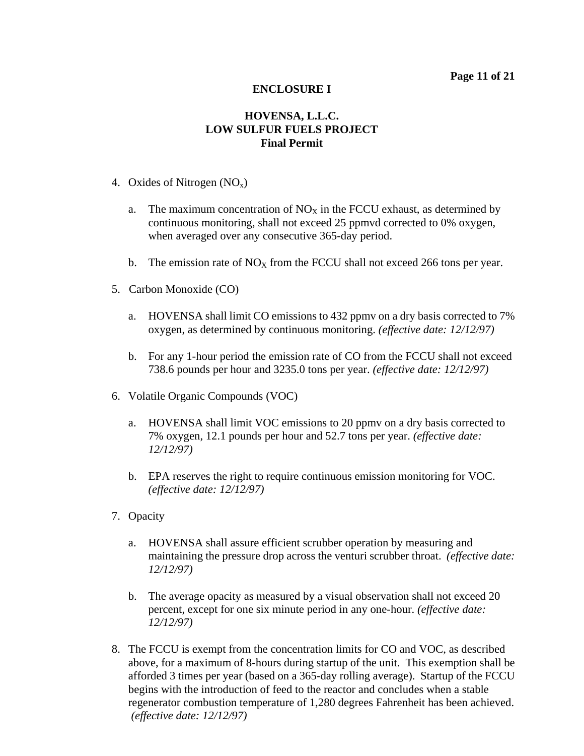- 4. Oxides of Nitrogen  $(NO<sub>x</sub>)$ 
	- a. The maximum concentration of  $NO<sub>X</sub>$  in the FCCU exhaust, as determined by continuous monitoring, shall not exceed 25 ppmvd corrected to 0% oxygen, when averaged over any consecutive 365-day period.
	- b. The emission rate of  $NO<sub>X</sub>$  from the FCCU shall not exceed 266 tons per year.
- 5. Carbon Monoxide (CO)
	- a. HOVENSA shall limit CO emissions to 432 ppmv on a dry basis corrected to 7% oxygen, as determined by continuous monitoring. *(effective date: 12/12/97)*
	- b. For any 1-hour period the emission rate of CO from the FCCU shall not exceed 738.6 pounds per hour and 3235.0 tons per year. *(effective date: 12/12/97)*
- 6. Volatile Organic Compounds (VOC)
	- a. HOVENSA shall limit VOC emissions to 20 ppmv on a dry basis corrected to 7% oxygen, 12.1 pounds per hour and 52.7 tons per year. *(effective date: 12/12/97)*
	- b. EPA reserves the right to require continuous emission monitoring for VOC. *(effective date: 12/12/97)*
- 7. Opacity
	- a. HOVENSA shall assure efficient scrubber operation by measuring and maintaining the pressure drop across the venturi scrubber throat. *(effective date: 12/12/97)*
	- b. The average opacity as measured by a visual observation shall not exceed 20 percent, except for one six minute period in any one-hour. *(effective date: 12/12/97)*
- 8. The FCCU is exempt from the concentration limits for CO and VOC, as described above, for a maximum of 8-hours during startup of the unit. This exemption shall be afforded 3 times per year (based on a 365-day rolling average). Startup of the FCCU begins with the introduction of feed to the reactor and concludes when a stable regenerator combustion temperature of 1,280 degrees Fahrenheit has been achieved. *(effective date: 12/12/97)*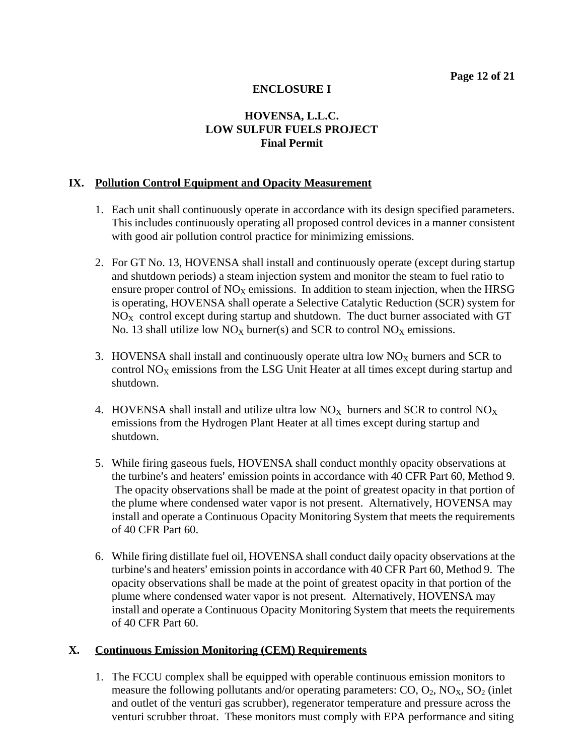# **HOVENSA, L.L.C. LOW SULFUR FUELS PROJECT Final Permit**

#### **IX. Pollution Control Equipment and Opacity Measurement**

- 1. Each unit shall continuously operate in accordance with its design specified parameters. This includes continuously operating all proposed control devices in a manner consistent with good air pollution control practice for minimizing emissions.
- 2. For GT No. 13, HOVENSA shall install and continuously operate (except during startup and shutdown periods) a steam injection system and monitor the steam to fuel ratio to ensure proper control of  $NO<sub>x</sub>$  emissions. In addition to steam injection, when the HRSG is operating, HOVENSA shall operate a Selective Catalytic Reduction (SCR) system for  $NO<sub>x</sub>$  control except during startup and shutdown. The duct burner associated with GT No. 13 shall utilize low  $NO<sub>X</sub>$  burner(s) and SCR to control  $NO<sub>X</sub>$  emissions.
- 3. HOVENSA shall install and continuously operate ultra low  $NO<sub>X</sub>$  burners and SCR to control  $NO<sub>X</sub>$  emissions from the LSG Unit Heater at all times except during startup and shutdown.
- 4. HOVENSA shall install and utilize ultra low  $NO<sub>X</sub>$  burners and SCR to control  $NO<sub>X</sub>$ emissions from the Hydrogen Plant Heater at all times except during startup and shutdown.
- 5. While firing gaseous fuels, HOVENSA shall conduct monthly opacity observations at the turbine's and heaters' emission points in accordance with 40 CFR Part 60, Method 9. The opacity observations shall be made at the point of greatest opacity in that portion of the plume where condensed water vapor is not present. Alternatively, HOVENSA may install and operate a Continuous Opacity Monitoring System that meets the requirements of 40 CFR Part 60.
- 6. While firing distillate fuel oil, HOVENSA shall conduct daily opacity observations at the turbine's and heaters' emission points in accordance with 40 CFR Part 60, Method 9. The opacity observations shall be made at the point of greatest opacity in that portion of the plume where condensed water vapor is not present. Alternatively, HOVENSA may install and operate a Continuous Opacity Monitoring System that meets the requirements of 40 CFR Part 60.

#### **X. Continuous Emission Monitoring (CEM) Requirements**

1. The FCCU complex shall be equipped with operable continuous emission monitors to measure the following pollutants and/or operating parameters:  $CO$ ,  $O_2$ ,  $NO<sub>X</sub>$ ,  $SO<sub>2</sub>$  (inlet and outlet of the venturi gas scrubber), regenerator temperature and pressure across the venturi scrubber throat. These monitors must comply with EPA performance and siting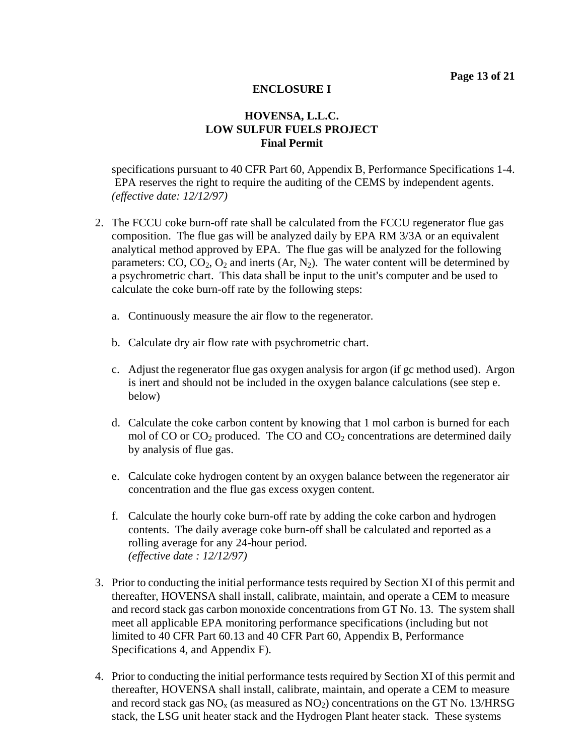# **HOVENSA, L.L.C. LOW SULFUR FUELS PROJECT Final Permit**

specifications pursuant to 40 CFR Part 60, Appendix B, Performance Specifications 1-4. EPA reserves the right to require the auditing of the CEMS by independent agents. *(effective date: 12/12/97)*

- 2. The FCCU coke burn-off rate shall be calculated from the FCCU regenerator flue gas composition. The flue gas will be analyzed daily by EPA RM 3/3A or an equivalent analytical method approved by EPA. The flue gas will be analyzed for the following parameters:  $CO$ ,  $CO_2$ ,  $O_2$  and inerts  $(Ar, N_2)$ . The water content will be determined by a psychrometric chart. This data shall be input to the unit's computer and be used to calculate the coke burn-off rate by the following steps:
	- a. Continuously measure the air flow to the regenerator.
	- b. Calculate dry air flow rate with psychrometric chart.
	- c. Adjust the regenerator flue gas oxygen analysis for argon (if gc method used). Argon is inert and should not be included in the oxygen balance calculations (see step e. below)
	- d. Calculate the coke carbon content by knowing that 1 mol carbon is burned for each mol of  $CO$  or  $CO<sub>2</sub>$  produced. The  $CO$  and  $CO<sub>2</sub>$  concentrations are determined daily by analysis of flue gas.
	- e. Calculate coke hydrogen content by an oxygen balance between the regenerator air concentration and the flue gas excess oxygen content.
	- f. Calculate the hourly coke burn-off rate by adding the coke carbon and hydrogen contents. The daily average coke burn-off shall be calculated and reported as a rolling average for any 24-hour period. *(effective date : 12/12/97)*
- 3. Prior to conducting the initial performance tests required by Section XI of this permit and thereafter, HOVENSA shall install, calibrate, maintain, and operate a CEM to measure and record stack gas carbon monoxide concentrations from GT No. 13. The system shall meet all applicable EPA monitoring performance specifications (including but not limited to 40 CFR Part 60.13 and 40 CFR Part 60, Appendix B, Performance Specifications 4, and Appendix F).
- 4. Prior to conducting the initial performance tests required by Section XI of this permit and thereafter, HOVENSA shall install, calibrate, maintain, and operate a CEM to measure and record stack gas  $NO<sub>x</sub>$  (as measured as  $NO<sub>2</sub>$ ) concentrations on the GT No. 13/HRSG stack, the LSG unit heater stack and the Hydrogen Plant heater stack. These systems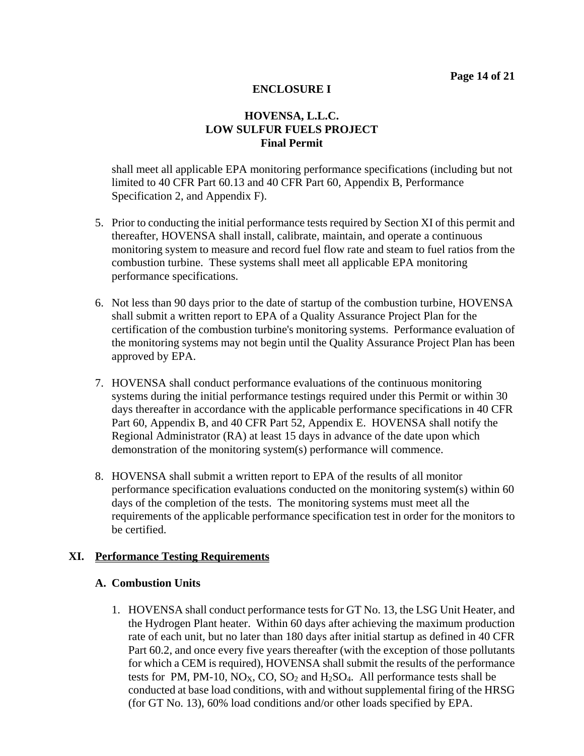# **HOVENSA, L.L.C. LOW SULFUR FUELS PROJECT Final Permit**

shall meet all applicable EPA monitoring performance specifications (including but not limited to 40 CFR Part 60.13 and 40 CFR Part 60, Appendix B, Performance Specification 2, and Appendix F).

- 5. Prior to conducting the initial performance tests required by Section XI of this permit and thereafter, HOVENSA shall install, calibrate, maintain, and operate a continuous monitoring system to measure and record fuel flow rate and steam to fuel ratios from the combustion turbine. These systems shall meet all applicable EPA monitoring performance specifications.
- 6. Not less than 90 days prior to the date of startup of the combustion turbine, HOVENSA shall submit a written report to EPA of a Quality Assurance Project Plan for the certification of the combustion turbine's monitoring systems. Performance evaluation of the monitoring systems may not begin until the Quality Assurance Project Plan has been approved by EPA.
- 7. HOVENSA shall conduct performance evaluations of the continuous monitoring systems during the initial performance testings required under this Permit or within 30 days thereafter in accordance with the applicable performance specifications in 40 CFR Part 60, Appendix B, and 40 CFR Part 52, Appendix E. HOVENSA shall notify the Regional Administrator (RA) at least 15 days in advance of the date upon which demonstration of the monitoring system(s) performance will commence.
- 8. HOVENSA shall submit a written report to EPA of the results of all monitor performance specification evaluations conducted on the monitoring system(s) within 60 days of the completion of the tests. The monitoring systems must meet all the requirements of the applicable performance specification test in order for the monitors to be certified.

#### **XI. Performance Testing Requirements**

#### **A. Combustion Units**

1. HOVENSA shall conduct performance tests for GT No. 13, the LSG Unit Heater, and the Hydrogen Plant heater. Within 60 days after achieving the maximum production rate of each unit, but no later than 180 days after initial startup as defined in 40 CFR Part 60.2, and once every five years thereafter (with the exception of those pollutants for which a CEM is required), HOVENSA shall submit the results of the performance tests for PM, PM-10,  $NO_X$ ,  $CO$ ,  $SO_2$  and  $H_2SO_4$ . All performance tests shall be conducted at base load conditions, with and without supplemental firing of the HRSG (for GT No. 13), 60% load conditions and/or other loads specified by EPA.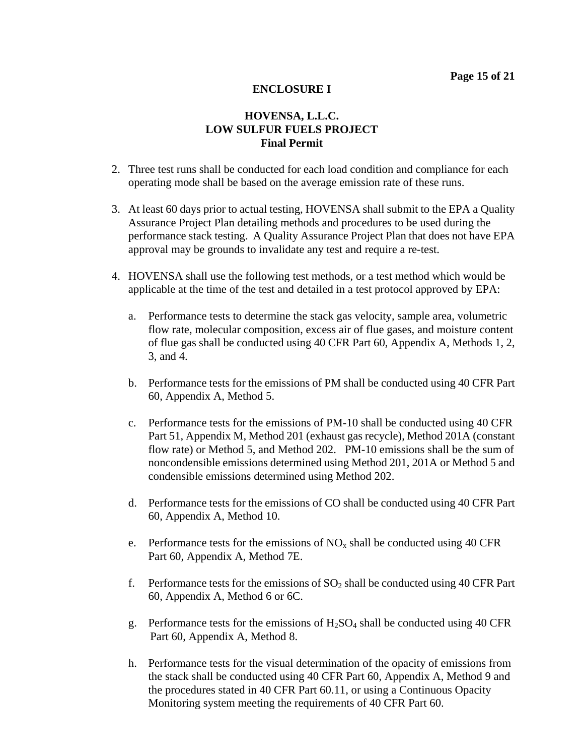- 2. Three test runs shall be conducted for each load condition and compliance for each operating mode shall be based on the average emission rate of these runs.
- 3. At least 60 days prior to actual testing, HOVENSA shall submit to the EPA a Quality Assurance Project Plan detailing methods and procedures to be used during the performance stack testing. A Quality Assurance Project Plan that does not have EPA approval may be grounds to invalidate any test and require a re-test.
- 4. HOVENSA shall use the following test methods, or a test method which would be applicable at the time of the test and detailed in a test protocol approved by EPA:
	- a. Performance tests to determine the stack gas velocity, sample area, volumetric flow rate, molecular composition, excess air of flue gases, and moisture content of flue gas shall be conducted using 40 CFR Part 60, Appendix A, Methods 1, 2, 3, and 4.
	- b. Performance tests for the emissions of PM shall be conducted using 40 CFR Part 60, Appendix A, Method 5.
	- c. Performance tests for the emissions of PM-10 shall be conducted using 40 CFR Part 51, Appendix M, Method 201 (exhaust gas recycle), Method 201A (constant flow rate) or Method 5, and Method 202. PM-10 emissions shall be the sum of noncondensible emissions determined using Method 201, 201A or Method 5 and condensible emissions determined using Method 202.
	- d. Performance tests for the emissions of CO shall be conducted using 40 CFR Part 60, Appendix A, Method 10.
	- e. Performance tests for the emissions of  $NO<sub>x</sub>$  shall be conducted using 40 CFR Part 60, Appendix A, Method 7E.
	- f. Performance tests for the emissions of  $SO_2$  shall be conducted using 40 CFR Part 60, Appendix A, Method 6 or 6C.
	- g. Performance tests for the emissions of  $H_2SO_4$  shall be conducted using 40 CFR Part 60, Appendix A, Method 8.
	- h. Performance tests for the visual determination of the opacity of emissions from the stack shall be conducted using 40 CFR Part 60, Appendix A, Method 9 and the procedures stated in 40 CFR Part 60.11, or using a Continuous Opacity Monitoring system meeting the requirements of 40 CFR Part 60.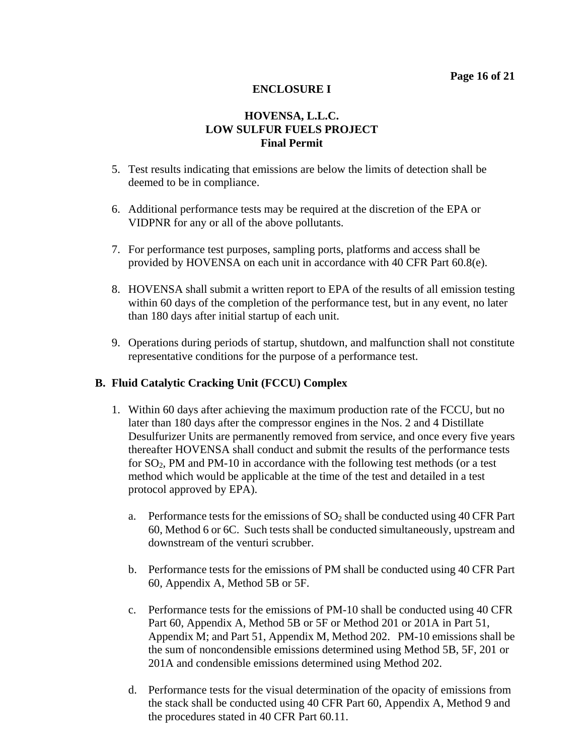# **HOVENSA, L.L.C. LOW SULFUR FUELS PROJECT Final Permit**

- 5. Test results indicating that emissions are below the limits of detection shall be deemed to be in compliance.
- 6. Additional performance tests may be required at the discretion of the EPA or VIDPNR for any or all of the above pollutants.
- 7. For performance test purposes, sampling ports, platforms and access shall be provided by HOVENSA on each unit in accordance with 40 CFR Part 60.8(e).
- 8. HOVENSA shall submit a written report to EPA of the results of all emission testing within 60 days of the completion of the performance test, but in any event, no later than 180 days after initial startup of each unit.
- 9. Operations during periods of startup, shutdown, and malfunction shall not constitute representative conditions for the purpose of a performance test.

#### **B. Fluid Catalytic Cracking Unit (FCCU) Complex**

- 1. Within 60 days after achieving the maximum production rate of the FCCU, but no later than 180 days after the compressor engines in the Nos. 2 and 4 Distillate Desulfurizer Units are permanently removed from service, and once every five years thereafter HOVENSA shall conduct and submit the results of the performance tests for  $SO_2$ , PM and PM-10 in accordance with the following test methods (or a test method which would be applicable at the time of the test and detailed in a test protocol approved by EPA).
	- a. Performance tests for the emissions of  $SO_2$  shall be conducted using 40 CFR Part 60, Method 6 or 6C. Such tests shall be conducted simultaneously, upstream and downstream of the venturi scrubber.
	- b. Performance tests for the emissions of PM shall be conducted using 40 CFR Part 60, Appendix A, Method 5B or 5F.
	- c. Performance tests for the emissions of PM-10 shall be conducted using 40 CFR Part 60, Appendix A, Method 5B or 5F or Method 201 or 201A in Part 51, Appendix M; and Part 51, Appendix M, Method 202. PM-10 emissions shall be the sum of noncondensible emissions determined using Method 5B, 5F, 201 or 201A and condensible emissions determined using Method 202.
	- d. Performance tests for the visual determination of the opacity of emissions from the stack shall be conducted using 40 CFR Part 60, Appendix A, Method 9 and the procedures stated in 40 CFR Part 60.11.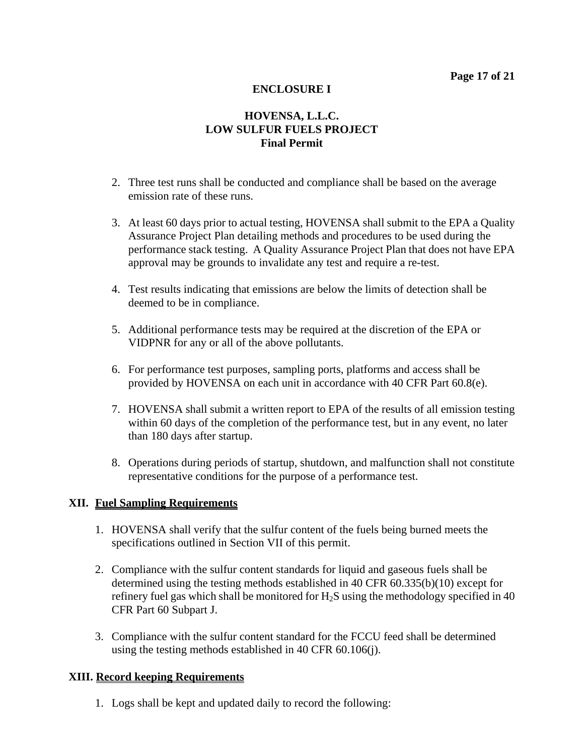# **HOVENSA, L.L.C. LOW SULFUR FUELS PROJECT Final Permit**

- 2. Three test runs shall be conducted and compliance shall be based on the average emission rate of these runs.
- 3. At least 60 days prior to actual testing, HOVENSA shall submit to the EPA a Quality Assurance Project Plan detailing methods and procedures to be used during the performance stack testing. A Quality Assurance Project Plan that does not have EPA approval may be grounds to invalidate any test and require a re-test.
- 4. Test results indicating that emissions are below the limits of detection shall be deemed to be in compliance.
- 5. Additional performance tests may be required at the discretion of the EPA or VIDPNR for any or all of the above pollutants.
- 6. For performance test purposes, sampling ports, platforms and access shall be provided by HOVENSA on each unit in accordance with 40 CFR Part 60.8(e).
- 7. HOVENSA shall submit a written report to EPA of the results of all emission testing within 60 days of the completion of the performance test, but in any event, no later than 180 days after startup.
- 8. Operations during periods of startup, shutdown, and malfunction shall not constitute representative conditions for the purpose of a performance test.

#### **XII. Fuel Sampling Requirements**

- 1. HOVENSA shall verify that the sulfur content of the fuels being burned meets the specifications outlined in Section VII of this permit.
- 2. Compliance with the sulfur content standards for liquid and gaseous fuels shall be determined using the testing methods established in 40 CFR 60.335(b)(10) except for refinery fuel gas which shall be monitored for  $H_2S$  using the methodology specified in 40 CFR Part 60 Subpart J.
- 3. Compliance with the sulfur content standard for the FCCU feed shall be determined using the testing methods established in 40 CFR 60.106(j).

#### **XIII. Record keeping Requirements**

1. Logs shall be kept and updated daily to record the following: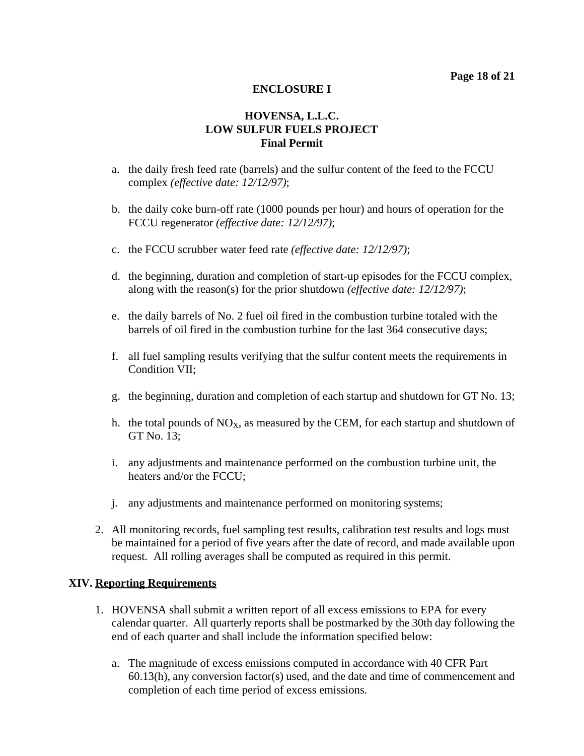# **HOVENSA, L.L.C. LOW SULFUR FUELS PROJECT Final Permit**

- a. the daily fresh feed rate (barrels) and the sulfur content of the feed to the FCCU complex *(effective date: 12/12/97)*;
- b. the daily coke burn-off rate (1000 pounds per hour) and hours of operation for the FCCU regenerator *(effective date: 12/12/97)*;
- c. the FCCU scrubber water feed rate *(effective date: 12/12/97)*;
- d. the beginning, duration and completion of start-up episodes for the FCCU complex, along with the reason(s) for the prior shutdown *(effective date: 12/12/97)*;
- e. the daily barrels of No. 2 fuel oil fired in the combustion turbine totaled with the barrels of oil fired in the combustion turbine for the last 364 consecutive days;
- f. all fuel sampling results verifying that the sulfur content meets the requirements in Condition VII;
- g. the beginning, duration and completion of each startup and shutdown for GT No. 13;
- h. the total pounds of  $NO<sub>X</sub>$ , as measured by the CEM, for each startup and shutdown of GT No. 13;
- i. any adjustments and maintenance performed on the combustion turbine unit, the heaters and/or the FCCU;
- j. any adjustments and maintenance performed on monitoring systems;
- 2. All monitoring records, fuel sampling test results, calibration test results and logs must be maintained for a period of five years after the date of record, and made available upon request. All rolling averages shall be computed as required in this permit.

#### **XIV. Reporting Requirements**

- 1. HOVENSA shall submit a written report of all excess emissions to EPA for every calendar quarter. All quarterly reports shall be postmarked by the 30th day following the end of each quarter and shall include the information specified below:
	- a. The magnitude of excess emissions computed in accordance with 40 CFR Part 60.13(h), any conversion factor(s) used, and the date and time of commencement and completion of each time period of excess emissions.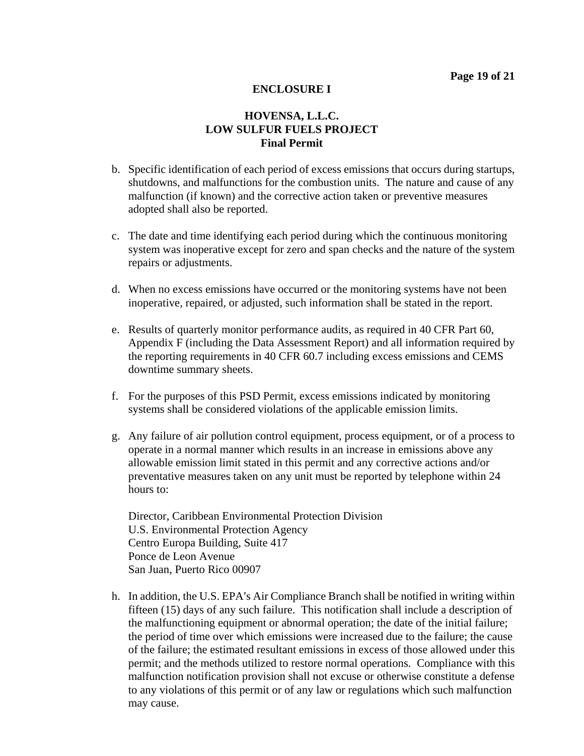## **HOVENSA, L.L.C. LOW SULFUR FUELS PROJECT Final Permit**

- b. Specific identification of each period of excess emissions that occurs during startups, shutdowns, and malfunctions for the combustion units. The nature and cause of any malfunction (if known) and the corrective action taken or preventive measures adopted shall also be reported.
- c. The date and time identifying each period during which the continuous monitoring system was inoperative except for zero and span checks and the nature of the system repairs or adjustments.
- d. When no excess emissions have occurred or the monitoring systems have not been inoperative, repaired, or adjusted, such information shall be stated in the report.
- e. Results of quarterly monitor performance audits, as required in 40 CFR Part 60, Appendix F (including the Data Assessment Report) and all information required by the reporting requirements in 40 CFR 60.7 including excess emissions and CEMS downtime summary sheets.
- f. For the purposes of this PSD Permit, excess emissions indicated by monitoring systems shall be considered violations of the applicable emission limits.
- g. Any failure of air pollution control equipment, process equipment, or of a process to operate in a normal manner which results in an increase in emissions above any allowable emission limit stated in this permit and any corrective actions and/or preventative measures taken on any unit must be reported by telephone within 24 hours to:

Director, Caribbean Environmental Protection Division U.S. Environmental Protection Agency Centro Europa Building, Suite 417 Ponce de Leon Avenue San Juan, Puerto Rico 00907

h. In addition, the U.S. EPA's Air Compliance Branch shall be notified in writing within fifteen (15) days of any such failure. This notification shall include a description of the malfunctioning equipment or abnormal operation; the date of the initial failure; the period of time over which emissions were increased due to the failure; the cause of the failure; the estimated resultant emissions in excess of those allowed under this permit; and the methods utilized to restore normal operations. Compliance with this malfunction notification provision shall not excuse or otherwise constitute a defense to any violations of this permit or of any law or regulations which such malfunction may cause.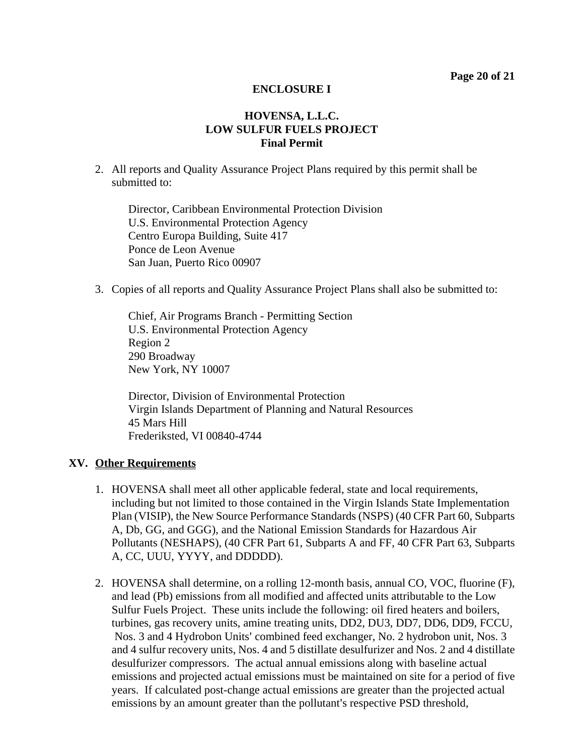## **HOVENSA, L.L.C. LOW SULFUR FUELS PROJECT Final Permit**

2. All reports and Quality Assurance Project Plans required by this permit shall be submitted to:

Director, Caribbean Environmental Protection Division U.S. Environmental Protection Agency Centro Europa Building, Suite 417 Ponce de Leon Avenue San Juan, Puerto Rico 00907

3. Copies of all reports and Quality Assurance Project Plans shall also be submitted to:

Chief, Air Programs Branch - Permitting Section U.S. Environmental Protection Agency Region 2 290 Broadway New York, NY 10007

Director, Division of Environmental Protection Virgin Islands Department of Planning and Natural Resources 45 Mars Hill Frederiksted, VI 00840-4744

#### **XV. Other Requirements**

- 1. HOVENSA shall meet all other applicable federal, state and local requirements, including but not limited to those contained in the Virgin Islands State Implementation Plan (VISIP), the New Source Performance Standards (NSPS) (40 CFR Part 60, Subparts A, Db, GG, and GGG), and the National Emission Standards for Hazardous Air Pollutants (NESHAPS), (40 CFR Part 61, Subparts A and FF, 40 CFR Part 63, Subparts A, CC, UUU, YYYY, and DDDDD).
- 2. HOVENSA shall determine, on a rolling 12-month basis, annual CO, VOC, fluorine (F), and lead (Pb) emissions from all modified and affected units attributable to the Low Sulfur Fuels Project. These units include the following: oil fired heaters and boilers, turbines, gas recovery units, amine treating units, DD2, DU3, DD7, DD6, DD9, FCCU, Nos. 3 and 4 Hydrobon Units' combined feed exchanger, No. 2 hydrobon unit, Nos. 3 and 4 sulfur recovery units, Nos. 4 and 5 distillate desulfurizer and Nos. 2 and 4 distillate desulfurizer compressors. The actual annual emissions along with baseline actual emissions and projected actual emissions must be maintained on site for a period of five years. If calculated post-change actual emissions are greater than the projected actual emissions by an amount greater than the pollutant's respective PSD threshold,